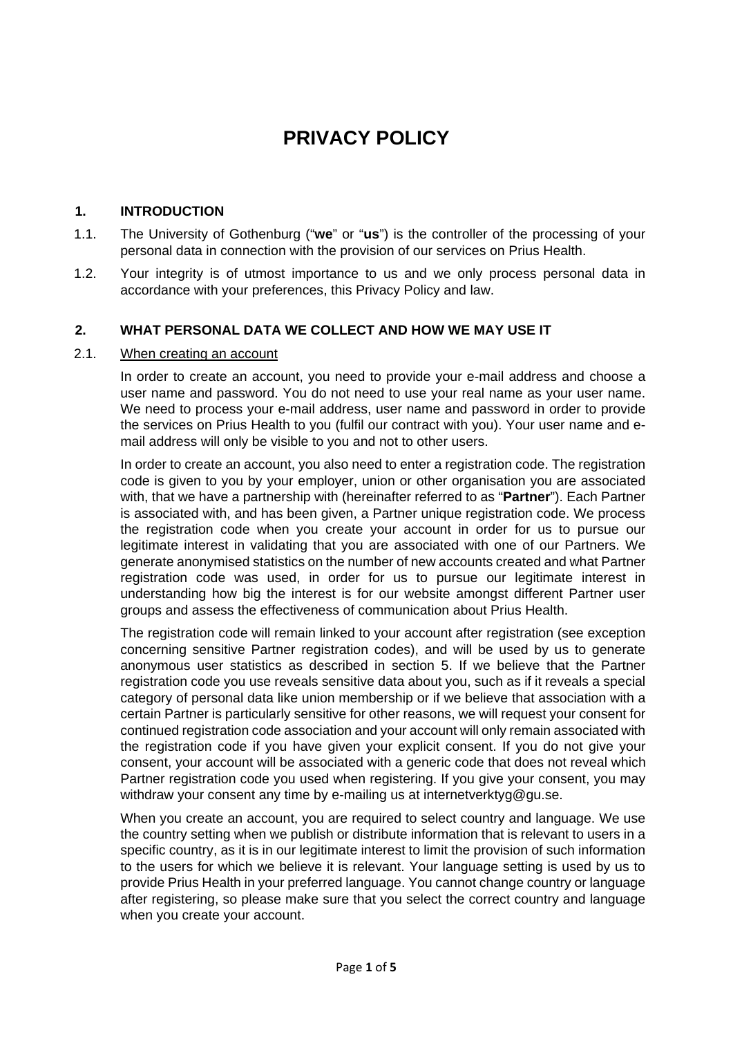# **PRIVACY POLICY**

### **1. INTRODUCTION**

- 1.1. The University of Gothenburg ("**we**" or "**us**") is the controller of the processing of your personal data in connection with the provision of our services on Prius Health.
- 1.2. Your integrity is of utmost importance to us and we only process personal data in accordance with your preferences, this Privacy Policy and law.

#### **2. WHAT PERSONAL DATA WE COLLECT AND HOW WE MAY USE IT**

#### 2.1. When creating an account

In order to create an account, you need to provide your e-mail address and choose a user name and password. You do not need to use your real name as your user name. We need to process your e-mail address, user name and password in order to provide the services on Prius Health to you (fulfil our contract with you). Your user name and email address will only be visible to you and not to other users.

In order to create an account, you also need to enter a registration code. The registration code is given to you by your employer, union or other organisation you are associated with, that we have a partnership with (hereinafter referred to as "**Partner**"). Each Partner is associated with, and has been given, a Partner unique registration code. We process the registration code when you create your account in order for us to pursue our legitimate interest in validating that you are associated with one of our Partners. We generate anonymised statistics on the number of new accounts created and what Partner registration code was used, in order for us to pursue our legitimate interest in understanding how big the interest is for our website amongst different Partner user groups and assess the effectiveness of communication about Prius Health.

The registration code will remain linked to your account after registration (see exception concerning sensitive Partner registration codes), and will be used by us to generate anonymous user statistics as described in section 5. If we believe that the Partner registration code you use reveals sensitive data about you, such as if it reveals a special category of personal data like union membership or if we believe that association with a certain Partner is particularly sensitive for other reasons, we will request your consent for continued registration code association and your account will only remain associated with the registration code if you have given your explicit consent. If you do not give your consent, your account will be associated with a generic code that does not reveal which Partner registration code you used when registering. If you give your consent, you may withdraw your consent any time by e-mailing us at internetverktyg@gu.se.

When you create an account, you are required to select country and language. We use the country setting when we publish or distribute information that is relevant to users in a specific country, as it is in our legitimate interest to limit the provision of such information to the users for which we believe it is relevant. Your language setting is used by us to provide Prius Health in your preferred language. You cannot change country or language after registering, so please make sure that you select the correct country and language when you create your account.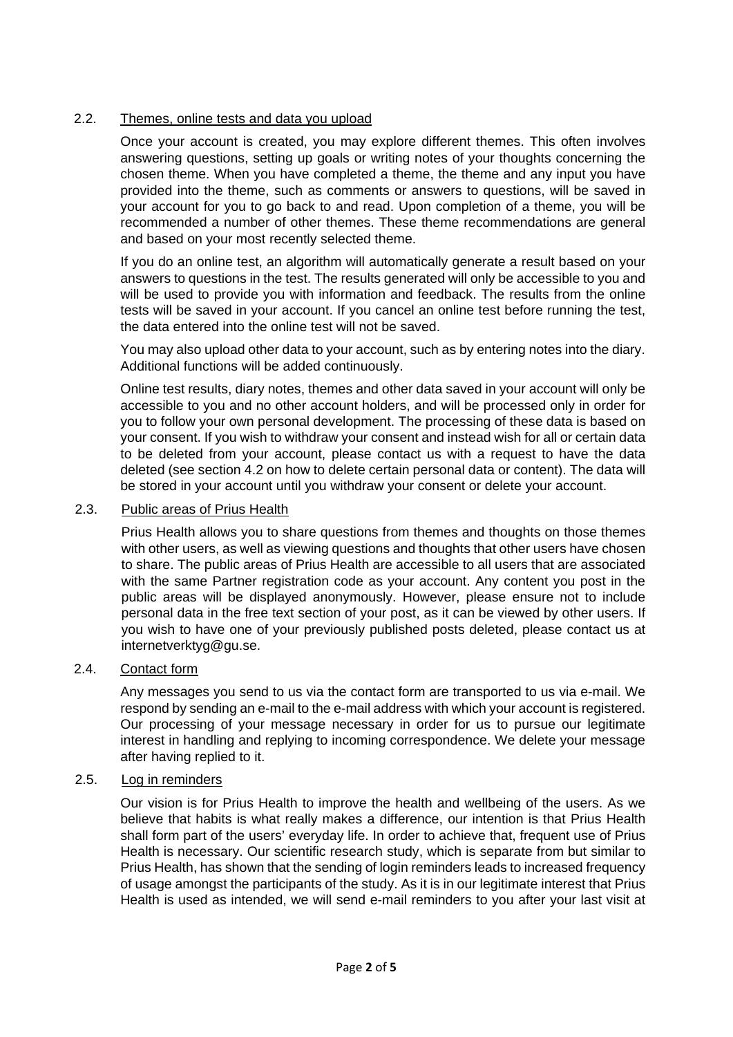### 2.2. Themes, online tests and data you upload

Once your account is created, you may explore different themes. This often involves answering questions, setting up goals or writing notes of your thoughts concerning the chosen theme. When you have completed a theme, the theme and any input you have provided into the theme, such as comments or answers to questions, will be saved in your account for you to go back to and read. Upon completion of a theme, you will be recommended a number of other themes. These theme recommendations are general and based on your most recently selected theme.

If you do an online test, an algorithm will automatically generate a result based on your answers to questions in the test. The results generated will only be accessible to you and will be used to provide you with information and feedback. The results from the online tests will be saved in your account. If you cancel an online test before running the test, the data entered into the online test will not be saved.

You may also upload other data to your account, such as by entering notes into the diary. Additional functions will be added continuously.

Online test results, diary notes, themes and other data saved in your account will only be accessible to you and no other account holders, and will be processed only in order for you to follow your own personal development. The processing of these data is based on your consent. If you wish to withdraw your consent and instead wish for all or certain data to be deleted from your account, please contact us with a request to have the data deleted (see section 4.2 on how to delete certain personal data or content). The data will be stored in your account until you withdraw your consent or delete your account.

#### 2.3. Public areas of Prius Health

 Prius Health allows you to share questions from themes and thoughts on those themes with other users, as well as viewing questions and thoughts that other users have chosen to share. The public areas of Prius Health are accessible to all users that are associated with the same Partner registration code as your account. Any content you post in the public areas will be displayed anonymously. However, please ensure not to include personal data in the free text section of your post, as it can be viewed by other users. If you wish to have one of your previously published posts deleted, please contact us at internetverktyg@gu.se.

## 2.4. Contact form

Any messages you send to us via the contact form are transported to us via e-mail. We respond by sending an e-mail to the e-mail address with which your account is registered. Our processing of your message necessary in order for us to pursue our legitimate interest in handling and replying to incoming correspondence. We delete your message after having replied to it.

#### 2.5. Log in reminders

 Our vision is for Prius Health to improve the health and wellbeing of the users. As we believe that habits is what really makes a difference, our intention is that Prius Health shall form part of the users' everyday life. In order to achieve that, frequent use of Prius Health is necessary. Our scientific research study, which is separate from but similar to Prius Health, has shown that the sending of login reminders leads to increased frequency of usage amongst the participants of the study. As it is in our legitimate interest that Prius Health is used as intended, we will send e-mail reminders to you after your last visit at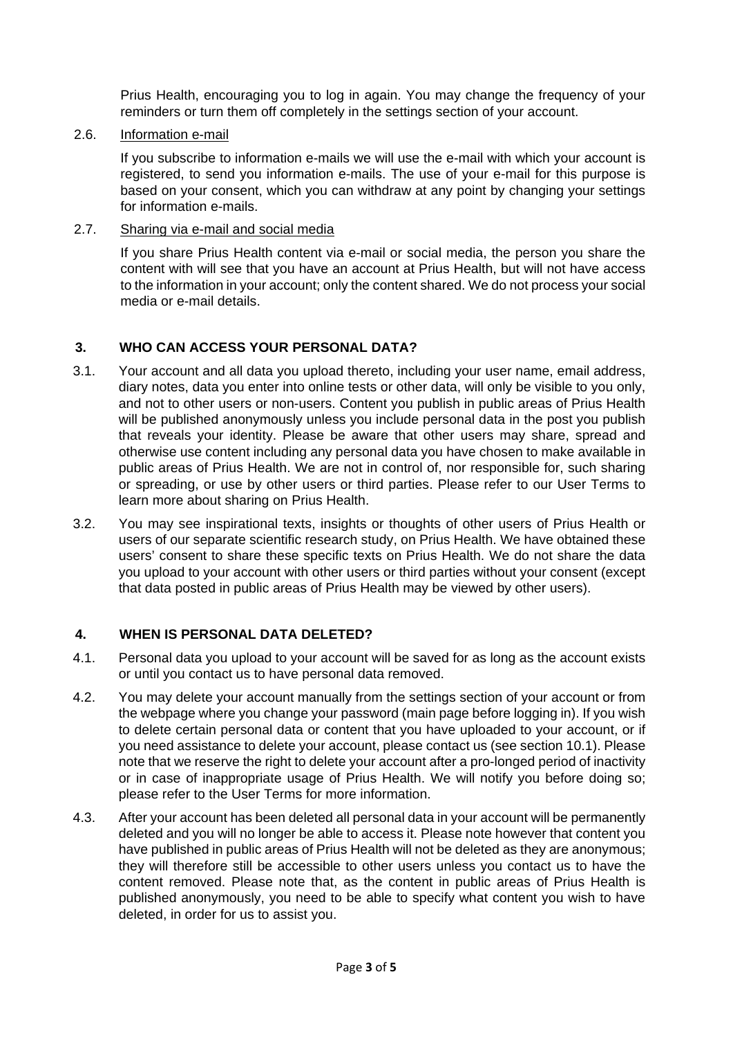Prius Health, encouraging you to log in again. You may change the frequency of your reminders or turn them off completely in the settings section of your account.

2.6. Information e-mail

 If you subscribe to information e-mails we will use the e-mail with which your account is registered, to send you information e-mails. The use of your e-mail for this purpose is based on your consent, which you can withdraw at any point by changing your settings for information e-mails.

2.7. Sharing via e-mail and social media

 If you share Prius Health content via e-mail or social media, the person you share the content with will see that you have an account at Prius Health, but will not have access to the information in your account; only the content shared. We do not process your social media or e-mail details.

## **3. WHO CAN ACCESS YOUR PERSONAL DATA?**

- 3.1. Your account and all data you upload thereto, including your user name, email address, diary notes, data you enter into online tests or other data, will only be visible to you only, and not to other users or non-users. Content you publish in public areas of Prius Health will be published anonymously unless you include personal data in the post you publish that reveals your identity. Please be aware that other users may share, spread and otherwise use content including any personal data you have chosen to make available in public areas of Prius Health. We are not in control of, nor responsible for, such sharing or spreading, or use by other users or third parties. Please refer to our User Terms to learn more about sharing on Prius Health.
- 3.2. You may see inspirational texts, insights or thoughts of other users of Prius Health or users of our separate scientific research study, on Prius Health. We have obtained these users' consent to share these specific texts on Prius Health. We do not share the data you upload to your account with other users or third parties without your consent (except that data posted in public areas of Prius Health may be viewed by other users).

#### **4. WHEN IS PERSONAL DATA DELETED?**

- 4.1. Personal data you upload to your account will be saved for as long as the account exists or until you contact us to have personal data removed.
- 4.2. You may delete your account manually from the settings section of your account or from the webpage where you change your password (main page before logging in). If you wish to delete certain personal data or content that you have uploaded to your account, or if you need assistance to delete your account, please contact us (see section 10.1). Please note that we reserve the right to delete your account after a pro-longed period of inactivity or in case of inappropriate usage of Prius Health. We will notify you before doing so; please refer to the User Terms for more information.
- 4.3. After your account has been deleted all personal data in your account will be permanently deleted and you will no longer be able to access it. Please note however that content you have published in public areas of Prius Health will not be deleted as they are anonymous; they will therefore still be accessible to other users unless you contact us to have the content removed. Please note that, as the content in public areas of Prius Health is published anonymously, you need to be able to specify what content you wish to have deleted, in order for us to assist you.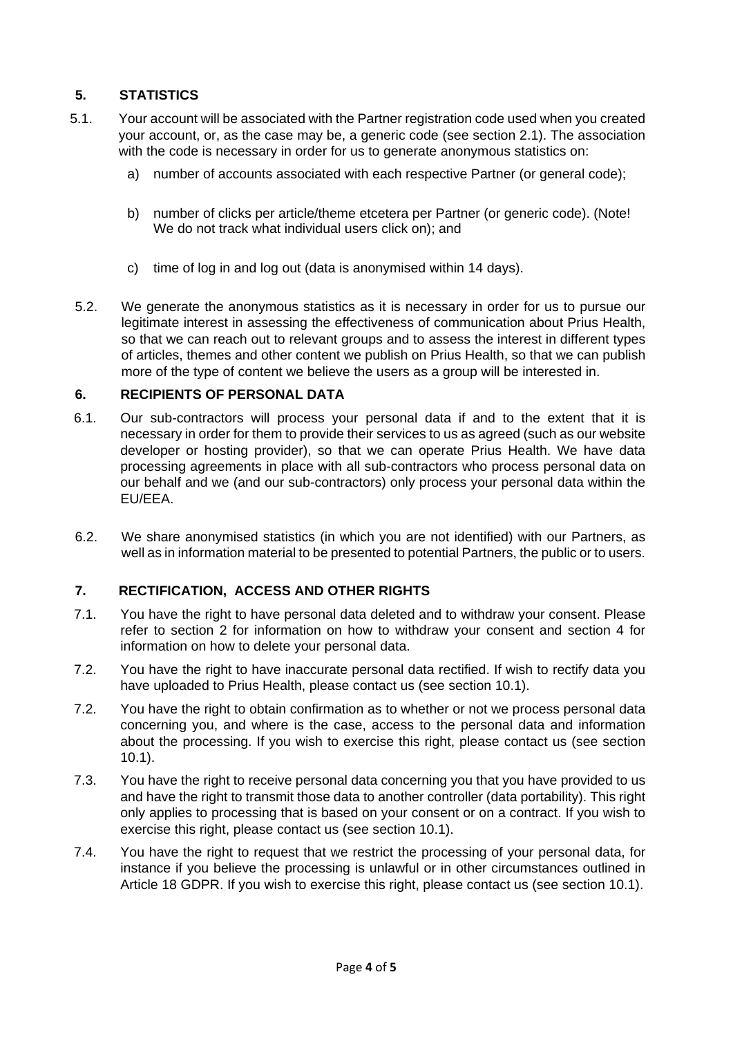## **5. STATISTICS**

- 5.1. Your account will be associated with the Partner registration code used when you created your account, or, as the case may be, a generic code (see section 2.1). The association with the code is necessary in order for us to generate anonymous statistics on:
	- a) number of accounts associated with each respective Partner (or general code);
	- b) number of clicks per article/theme etcetera per Partner (or generic code). (Note! We do not track what individual users click on); and
	- c) time of log in and log out (data is anonymised within 14 days).
- 5.2. We generate the anonymous statistics as it is necessary in order for us to pursue our legitimate interest in assessing the effectiveness of communication about Prius Health, so that we can reach out to relevant groups and to assess the interest in different types of articles, themes and other content we publish on Prius Health, so that we can publish more of the type of content we believe the users as a group will be interested in.

#### **6. RECIPIENTS OF PERSONAL DATA**

- 6.1. Our sub-contractors will process your personal data if and to the extent that it is necessary in order for them to provide their services to us as agreed (such as our website developer or hosting provider), so that we can operate Prius Health. We have data processing agreements in place with all sub-contractors who process personal data on our behalf and we (and our sub-contractors) only process your personal data within the EU/EEA.
- 6.2. We share anonymised statistics (in which you are not identified) with our Partners, as well as in information material to be presented to potential Partners, the public or to users.

## **7. RECTIFICATION, ACCESS AND OTHER RIGHTS**

- 7.1. You have the right to have personal data deleted and to withdraw your consent. Please refer to section 2 for information on how to withdraw your consent and section 4 for information on how to delete your personal data.
- 7.2. You have the right to have inaccurate personal data rectified. If wish to rectify data you have uploaded to Prius Health, please contact us (see section 10.1).
- 7.2. You have the right to obtain confirmation as to whether or not we process personal data concerning you, and where is the case, access to the personal data and information about the processing. If you wish to exercise this right, please contact us (see section 10.1).
- 7.3. You have the right to receive personal data concerning you that you have provided to us and have the right to transmit those data to another controller (data portability). This right only applies to processing that is based on your consent or on a contract. If you wish to exercise this right, please contact us (see section 10.1).
- 7.4. You have the right to request that we restrict the processing of your personal data, for instance if you believe the processing is unlawful or in other circumstances outlined in Article 18 GDPR. If you wish to exercise this right, please contact us (see section 10.1).